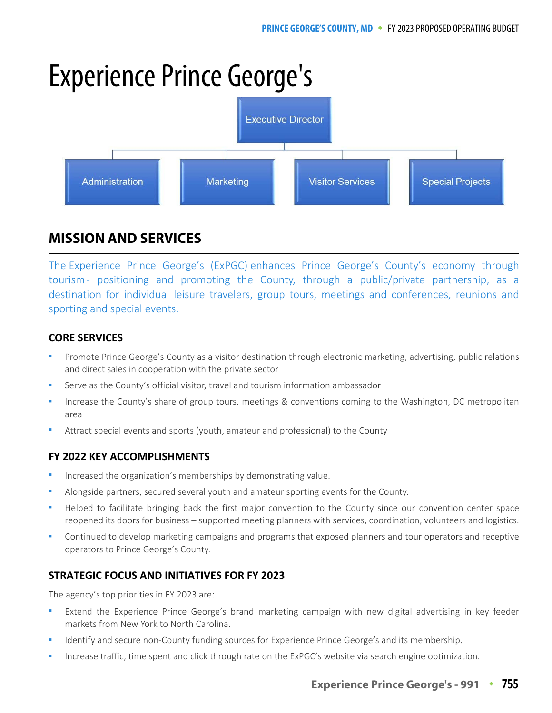# Experience Prince George's



## **MISSION AND SERVICES MISSION AND SERVICES**

The Experience Prince George's (ExPGC) enhances Prince George's County's economy through tourism - positioning and promoting the County, through a public/private partnership, as a destination for individual leisure travelers, group tours, meetings and conferences, reunions and sporting and special events.

## **CORE SERVICES**

- Promote Prince George's County as a visitor destination through electronic marketing, advertising, public relations and direct sales in cooperation with the private sector
- Serve as the County's official visitor, travel and tourism information ambassador
- Increase the County's share of group tours, meetings & conventions coming to the Washington, DC metropolitan area
- Attract special events and sports (youth, amateur and professional) to the County

## **FY 2022 KEY ACCOMPLISHMENTS**

- Increased the organization's memberships by demonstrating value.
- Alongside partners, secured several youth and amateur sporting events for the County.
- Helped to facilitate bringing back the first major convention to the County since our convention center space reopened its doors for business – supported meeting planners with services, coordination, volunteers and logistics.
- Continued to develop marketing campaigns and programs that exposed planners and tour operators and receptive operators to Prince George's County.

## **STRATEGIC FOCUS AND INITIATIVES FOR FY 2023**

The agency's top priorities in FY 2023 are:

- Extend the Experience Prince George's brand marketing campaign with new digital advertising in key feeder markets from New York to North Carolina.
- Identify and secure non-County funding sources for Experience Prince George's and its membership.
- Increase traffic, time spent and click through rate on the ExPGC's website via search engine optimization.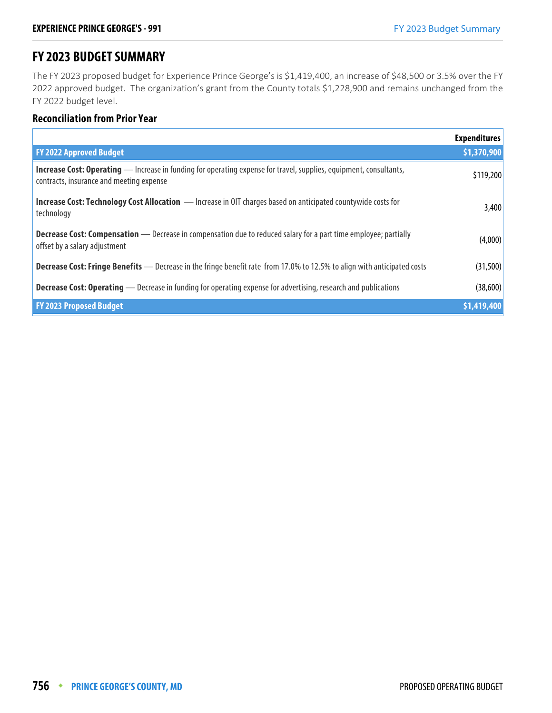# **FY 2023 BUDGET SUMMARY**

The FY 2023 proposed budget for Experience Prince George's is \$1,419,400, an increase of \$48,500 or 3.5% over the FY 2022 approved budget. The organization's grant from the County totals \$1,228,900 and remains unchanged from the FY 2022 budget level.

#### **Reconciliation from Prior Year**

|                                                                                                                                                                | <b>Expenditures</b> |
|----------------------------------------------------------------------------------------------------------------------------------------------------------------|---------------------|
| <b>FY 2022 Approved Budget</b>                                                                                                                                 | \$1,370,900         |
| Increase Cost: Operating - Increase in funding for operating expense for travel, supplies, equipment, consultants,<br>contracts, insurance and meeting expense | \$119,200           |
| <b>Increase Cost: Technology Cost Allocation</b> - Increase in OIT charges based on anticipated countywide costs for<br>technology                             | 3,400               |
| <b>Decrease Cost: Compensation</b> — Decrease in compensation due to reduced salary for a part time employee; partially<br>offset by a salary adjustment       | (4,000)             |
| <b>Decrease Cost: Fringe Benefits</b> — Decrease in the fringe benefit rate from 17.0% to 12.5% to align with anticipated costs                                | (31,500)            |
| <b>Decrease Cost: Operating</b> — Decrease in funding for operating expense for advertising, research and publications                                         | (38,600)            |
| <b>FY 2023 Proposed Budget</b>                                                                                                                                 | \$1,419,400         |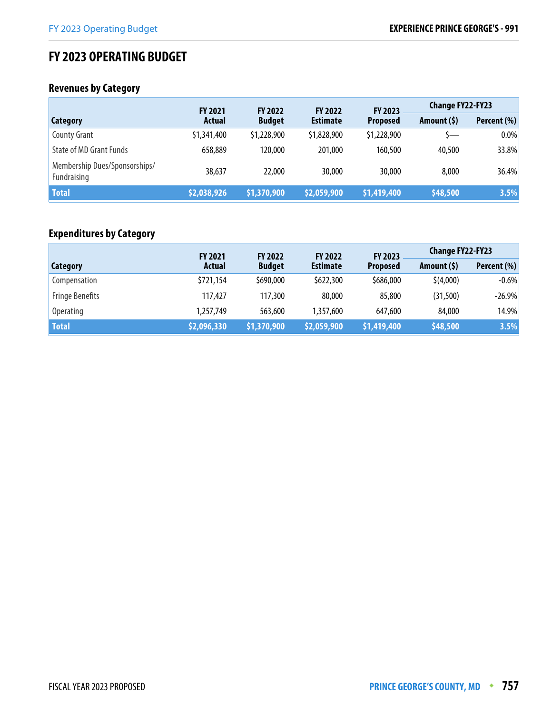# **FY 2023 OPERATING BUDGET**

# **Revenues by Category**

|                                              | <b>FY 2021</b> | <b>FY 2022</b> | <b>FY 2022</b>  | <b>FY 2023</b>  | <b>Change FY22-FY23</b> |             |
|----------------------------------------------|----------------|----------------|-----------------|-----------------|-------------------------|-------------|
| Category                                     | Actual         | <b>Budget</b>  | <b>Estimate</b> | <b>Proposed</b> | Amount $(5)$            | Percent (%) |
| <b>County Grant</b>                          | \$1,341,400    | \$1,228,900    | \$1,828,900     | \$1,228,900     | S—                      | 0.0%        |
| <b>State of MD Grant Funds</b>               | 658,889        | 120,000        | 201,000         | 160,500         | 40,500                  | 33.8%       |
| Membership Dues/Sponsorships/<br>Fundraising | 38,637         | 22,000         | 30,000          | 30,000          | 8,000                   | 36.4%       |
| <b>Total</b>                                 | \$2,038,926    | \$1,370,900    | \$2,059,900     | \$1,419,400     | \$48,500                | 3.5%        |

## **Expenditures by Category**

|                        | <b>FY 2021</b> | <b>FY 2022</b> | <b>FY 2022</b>     | <b>Change FY22-FY23</b><br>FY 2023 |              |             |
|------------------------|----------------|----------------|--------------------|------------------------------------|--------------|-------------|
| Category               | Actual         | <b>Budget</b>  | <b>Estimate</b>    | <b>Proposed</b>                    | Amount $(5)$ | Percent (%) |
| Compensation           | \$721,154      | \$690,000      | \$622,300          | \$686,000                          | \$(4,000)    | $-0.6%$     |
| <b>Fringe Benefits</b> | 117,427        | 117,300        | 80,000             | 85,800                             | (31,500)     | $-26.9\%$   |
| <b>Operating</b>       | 1,257,749      | 563,600        | 1,357,600          | 647,600                            | 84,000       | 14.9%       |
| <b>Total</b>           | \$2,096,330    | \$1,370,900    | <b>\$2,059,900</b> | \$1,419,400                        | \$48,500     | 3.5%        |